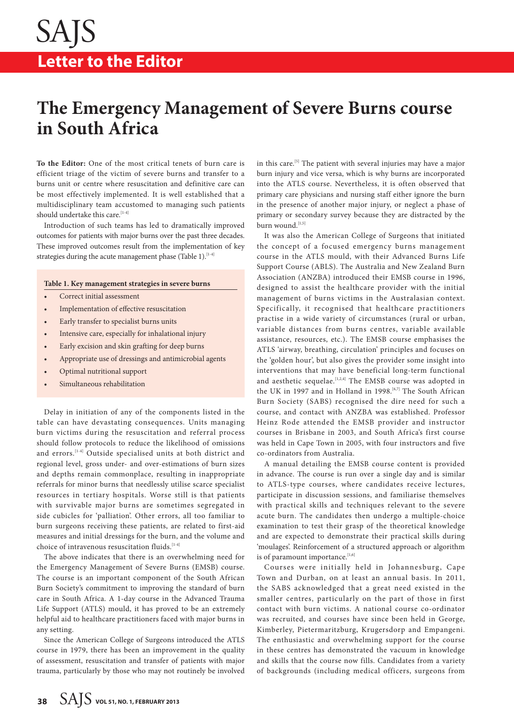# **The Emergency Management of Severe Burns course in South Africa**

**To the Editor:** One of the most critical tenets of burn care is efficient triage of the victim of severe burns and transfer to a burns unit or centre where resuscitation and definitive care can be most effectively implemented. It is well established that a multidisciplinary team accustomed to managing such patients should undertake this care.<sup>[1-4]</sup>

Introduction of such teams has led to dramatically improved outcomes for patients with major burns over the past three decades. These improved outcomes result from the implementation of key strategies during the acute management phase (Table 1). $[14]$ 

## **Table 1. Key management strategies in severe burns**

- Correct initial assessment
- Implementation of effective resuscitation
- Early transfer to specialist burns units
- Intensive care, especially for inhalational injury
- Early excision and skin grafting for deep burns
- Appropriate use of dressings and antimicrobial agents
- Optimal nutritional support
- Simultaneous rehabilitation

Delay in initiation of any of the components listed in the table can have devastating consequences. Units managing burn victims during the resuscitation and referral process should follow protocols to reduce the likelihood of omissions and errors.<sup>[1-4]</sup> Outside specialised units at both district and regional level, gross under- and over-estimations of burn sizes and depths remain commonplace, resulting in inappropriate referrals for minor burns that needlessly utilise scarce specialist resources in tertiary hospitals. Worse still is that patients with survivable major burns are sometimes segregated in side cubicles for 'palliation'. Other errors, all too familiar to burn surgeons receiving these patients, are related to first-aid measures and initial dressings for the burn, and the volume and choice of intravenous resuscitation fluids.<sup>[1-4]</sup>

The above indicates that there is an overwhelming need for the Emergency Management of Severe Burns (EMSB) course. The course is an important component of the South African Burn Society's commitment to improving the standard of burn care in South Africa. A 1-day course in the Advanced Trauma Life Support (ATLS) mould, it has proved to be an extremely helpful aid to healthcare practitioners faced with major burns in any setting.

Since the American College of Surgeons introduced the ATLS course in 1979, there has been an improvement in the quality of assessment, resuscitation and transfer of patients with major trauma, particularly by those who may not routinely be involved

in this care.[5] The patient with several injuries may have a major burn injury and vice versa, which is why burns are incorporated into the ATLS course. Nevertheless, it is often observed that primary care physicians and nursing staff either ignore the burn in the presence of another major injury, or neglect a phase of primary or secondary survey because they are distracted by the burn wound.<sup>[1,5]</sup>

It was also the American College of Surgeons that initiated the concept of a focused emergency burns management course in the ATLS mould, with their Advanced Burns Life Support Course (ABLS). The Australia and New Zealand Burn Association (ANZBA) introduced their EMSB course in 1996, designed to assist the healthcare provider with the initial management of burns victims in the Australasian context. Specifically, it recognised that healthcare practitioners practise in a wide variety of circumstances (rural or urban, variable distances from burns centres, variable available assistance, resources, etc.). The EMSB course emphasises the ATLS 'airway, breathing, circulation' principles and focuses on the 'golden hour', but also gives the provider some insight into interventions that may have beneficial long-term functional and aesthetic sequelae.<sup>[1,2,4]</sup> The EMSB course was adopted in the UK in 1997 and in Holland in 1998.<sup>[6,7]</sup> The South African Burn Society (SABS) recognised the dire need for such a course, and contact with ANZBA was established. Professor Heinz Rode attended the EMSB provider and instructor courses in Brisbane in 2003, and South Africa's first course was held in Cape Town in 2005, with four instructors and five co-ordinators from Australia.

A manual detailing the EMSB course content is provided in advance. The course is run over a single day and is similar to ATLS-type courses, where candidates receive lectures, participate in discussion sessions, and familiarise themselves with practical skills and techniques relevant to the severe acute burn. The candidates then undergo a multiple-choice examination to test their grasp of the theoretical knowledge and are expected to demonstrate their practical skills during 'moulages'. Reinforcement of a structured approach or algorithm is of paramount importance.<sup>[1,6]</sup>

Courses were initially held in Johannesburg, Cape Town and Durban, on at least an annual basis. In 2011, the SABS acknowledged that a great need existed in the smaller centres, particularly on the part of those in first contact with burn victims. A national course co-ordinator was recruited, and courses have since been held in George, Kimberley, Pietermaritzburg, Krugersdorp and Empangeni. The enthusiastic and overwhelming support for the course in these centres has demonstrated the vacuum in knowledge and skills that the course now fills. Candidates from a variety of backgrounds (including medical officers, surgeons from